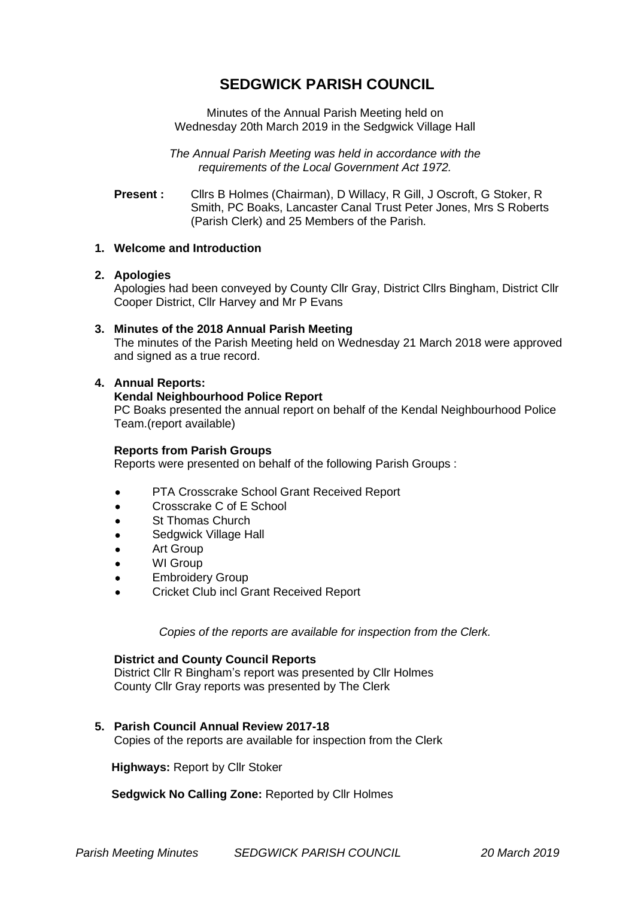# **SEDGWICK PARISH COUNCIL**

Minutes of the Annual Parish Meeting held on Wednesday 20th March 2019 in the Sedgwick Village Hall

*The Annual Parish Meeting was held in accordance with the requirements of the Local Government Act 1972.*

**Present :** Cllrs B Holmes (Chairman), D Willacy, R Gill, J Oscroft, G Stoker, R Smith, PC Boaks, Lancaster Canal Trust Peter Jones, Mrs S Roberts (Parish Clerk) and 25 Members of the Parish.

# **1. Welcome and Introduction**

# **2. Apologies**

Apologies had been conveyed by County Cllr Gray, District Cllrs Bingham, District Cllr Cooper District, Cllr Harvey and Mr P Evans

#### **3. Minutes of the 2018 Annual Parish Meeting**

The minutes of the Parish Meeting held on Wednesday 21 March 2018 were approved and signed as a true record.

# **4. Annual Reports:**

# **Kendal Neighbourhood Police Report**

PC Boaks presented the annual report on behalf of the Kendal Neighbourhood Police Team.(report available)

#### **Reports from Parish Groups**

Reports were presented on behalf of the following Parish Groups :

- PTA Crosscrake School Grant Received Report
- Crosscrake C of E School
- St Thomas Church
- Sedgwick Village Hall
- Art Group
- WI Group
- **Embroidery Group**
- Cricket Club incl Grant Received Report

*Copies of the reports are available for inspection from the Clerk.*

#### **District and County Council Reports**

District Cllr R Bingham's report was presented by Cllr Holmes County Cllr Gray reports was presented by The Clerk

# **5. Parish Council Annual Review 2017-18**

Copies of the reports are available for inspection from the Clerk

 **Highways:** Report by Cllr Stoker

 **Sedgwick No Calling Zone:** Reported by Cllr Holmes